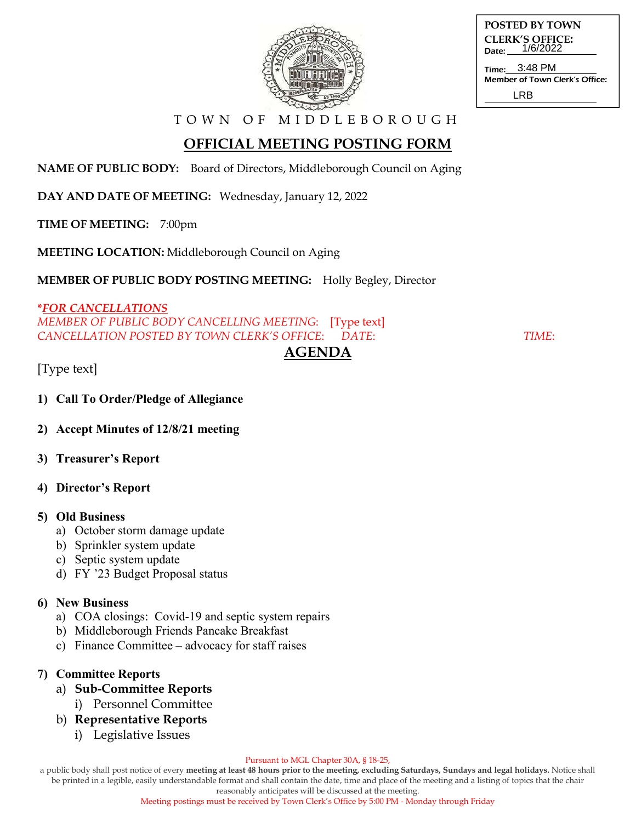

| POSTED BY TOWN                             |         |
|--------------------------------------------|---------|
| <b>CLERK'S OFFICE:</b><br>Date: $1/6/2022$ |         |
| Timo:                                      | 3.48 PM |

Time: Member of Town Clerk's Office: 3:48 PM LRB

T O W N O F M I D D L E B O R O U G H

# **OFFICIAL MEETING POSTING FORM**

**NAME OF PUBLIC BODY:** Board of Directors, Middleborough Council on Aging

**DAY AND DATE OF MEETING:** Wednesday, January 12, 2022

**TIME OF MEETING:** 7:00pm

**MEETING LOCATION:** Middleborough Council on Aging

**MEMBER OF PUBLIC BODY POSTING MEETING:** Holly Begley, Director

**\****FOR CANCELLATIONS MEMBER OF PUBLIC BODY CANCELLING MEETING*: [Type text] *CANCELLATION POSTED BY TOWN CLERK'S OFFICE*: *DATE*: *TIME*:

## **AGENDA**

[Type text]

- **1) Call To Order/Pledge of Allegiance**
- **2) Accept Minutes of 12/8/21 meeting**
- **3) Treasurer's Report**
- **4) Director's Report**

#### **5) Old Business**

- a) October storm damage update
- b) Sprinkler system update
- c) Septic system update
- d) FY '23 Budget Proposal status

### **6) New Business**

- a) COA closings: Covid-19 and septic system repairs
- b) Middleborough Friends Pancake Breakfast
- c) Finance Committee advocacy for staff raises

### **7) Committee Reports**

- a) **Sub-Committee Reports** 
	- i) Personnel Committee
- b) **Representative Reports**
	- i) Legislative Issues

#### Pursuant to MGL Chapter 30A, § 18-25,

a public body shall post notice of every **meeting at least 48 hours prior to the meeting, excluding Saturdays, Sundays and legal holidays.** Notice shall be printed in a legible, easily understandable format and shall contain the date, time and place of the meeting and a listing of topics that the chair

reasonably anticipates will be discussed at the meeting.